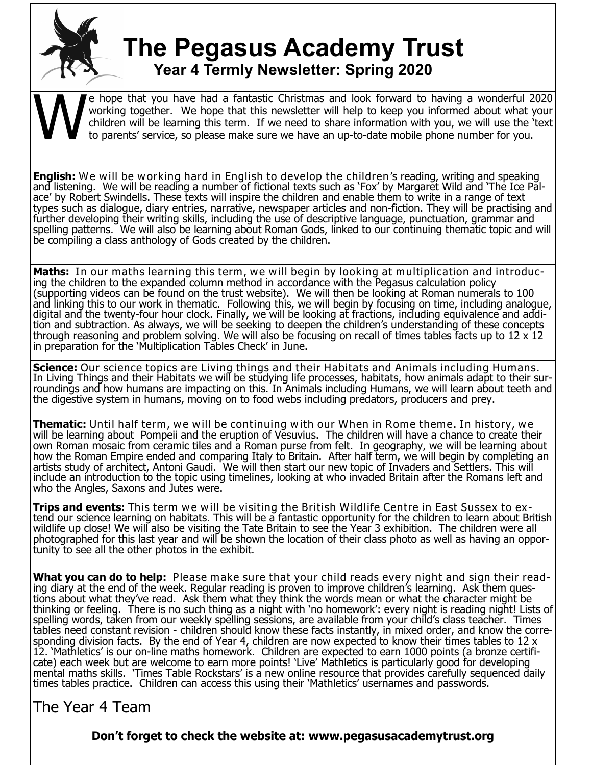

## **The Pegasus Academy Trust Year 4 Termly Newsletter: Spring 2020**

W e hope that you have had a fantastic Christmas and look forward to having a wonderful 2020 working together. We hope that this newsletter will help to keep you informed about what your children will be learning this term. If we need to share information with you, we will use the 'text to parents' service, so please make sure we have an up-to-date mobile phone number for you.

**English:** We will be working hard in English to develop the children's reading, writing and speaking and listening. We will be reading a number of fictional texts such as 'Fox' by Margaret Wild and 'The Ice Palace' by Robert Swindells. These texts will inspire the children and enable them to write in a range of text types such as dialogue, diary entries, narrative, newspaper articles and non-fiction. They will be practising and further developing their writing skills, including the use of descriptive language, punctuation, grammar and spelling patterns. We will also be learning about Roman Gods, linked to our continuing thematic topic and will be compiling a class anthology of Gods created by the children.

**Maths:** In our maths learning this term, we will begin by looking at multiplication and introducing the children to the expanded column method in accordance with the Pegasus calculation policy (supporting videos can be found on the trust website). We will then be looking at Roman numerals to 100 and linking this to our work in thematic. Following this, we will begin by focusing on time, including analogue, digital and the twenty-four hour clock. Finally, we will be looking at fractions, including equivalence and addition and subtraction. As always, we will be seeking to deepen the children's understanding of these concepts through reasoning and problem solving. We will also be focusing on recall of times tables facts up to 12 x 12 in preparation for the 'Multiplication Tables Check' in June.

**Science:** Our science topics are Living things and their Habitats and Animals including Humans. In Living Things and their Habitats we will be studying life processes, habitats, how animals adapt to their surroundings and how humans are impacting on this. In Animals including Humans, we will learn about teeth and the digestive system in humans, moving on to food webs including predators, producers and prey.

**Thematic:** Until half term, we will be continuing with our When in Rome theme. In history, we will be learning about Pompeii and the eruption of Vesuvius. The children will have a chance to create their own Roman mosaic from ceramic tiles and a Roman purse from felt. In geography, we will be learning about how the Roman Empire ended and comparing Italy to Britain. After half term, we will begin by completing an artists study of architect, Antoni Gaudi. We will then start our new topic of Invaders and Settlers. This will include an introduction to the topic using timelines, looking at who invaded Britain after the Romans left and who the Angles, Saxons and Jutes were.

**Trips and events:** This term we will be visiting the British Wildlife Centre in East Sussex to extend our science learning on habitats. This will be a fantastic opportunity for the children to learn about British wildlife up close! We will also be visiting the Tate Britain to see the Year 3 exhibition. The children were all photographed for this last year and will be shown the location of their class photo as well as having an opportunity to see all the other photos in the exhibit.

**What you can do to help:** Please make sure that your child reads every night and sign their reading diary at the end of the week. Regular reading is proven to improve children's learning. Ask them questions about what they've read. Ask them what they think the words mean or what the character might be thinking or feeling. There is no such thing as a night with 'no homework': every night is reading night! Lists of spelling words, taken from our weekly spelling sessions, are available from your child's class teacher. Times tables need constant revision - children should know these facts instantly, in mixed order, and know the corresponding division facts. By the end of Year 4, children are now expected to know their times tables to 12 x 12. 'Mathletics' is our on-line maths homework. Children are expected to earn 1000 points (a bronze certificate) each week but are welcome to earn more points! 'Live' Mathletics is particularly good for developing mental maths skills. 'Times Table Rockstars' is a new online resource that provides carefully sequenced daily times tables practice. Children can access this using their 'Mathletics' usernames and passwords.

The Year 4 Team

**Don't forget to check the website at: www.pegasusacademytrust.org**